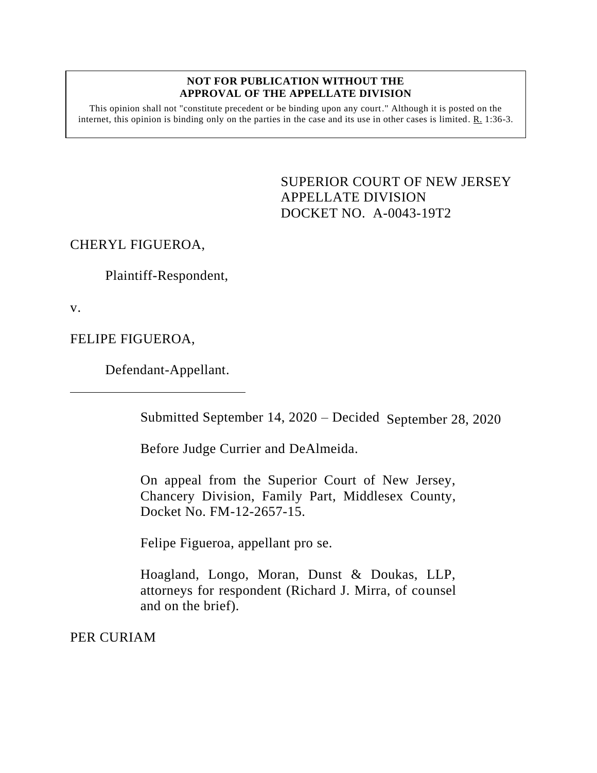## **NOT FOR PUBLICATION WITHOUT THE APPROVAL OF THE APPELLATE DIVISION**

This opinion shall not "constitute precedent or be binding upon any court." Although it is posted on the internet, this opinion is binding only on the parties in the case and its use in other cases is limited. R. 1:36-3.

> SUPERIOR COURT OF NEW JERSEY APPELLATE DIVISION DOCKET NO. A-0043-19T2

CHERYL FIGUEROA,

Plaintiff-Respondent,

v.

FELIPE FIGUEROA,

Defendant-Appellant.

Submitted September 14, 2020 – Decided September 28, 2020

Before Judge Currier and DeAlmeida.

On appeal from the Superior Court of New Jersey, Chancery Division, Family Part, Middlesex County, Docket No. FM-12-2657-15.

Felipe Figueroa, appellant pro se.

Hoagland, Longo, Moran, Dunst & Doukas, LLP, attorneys for respondent (Richard J. Mirra, of counsel and on the brief).

PER CURIAM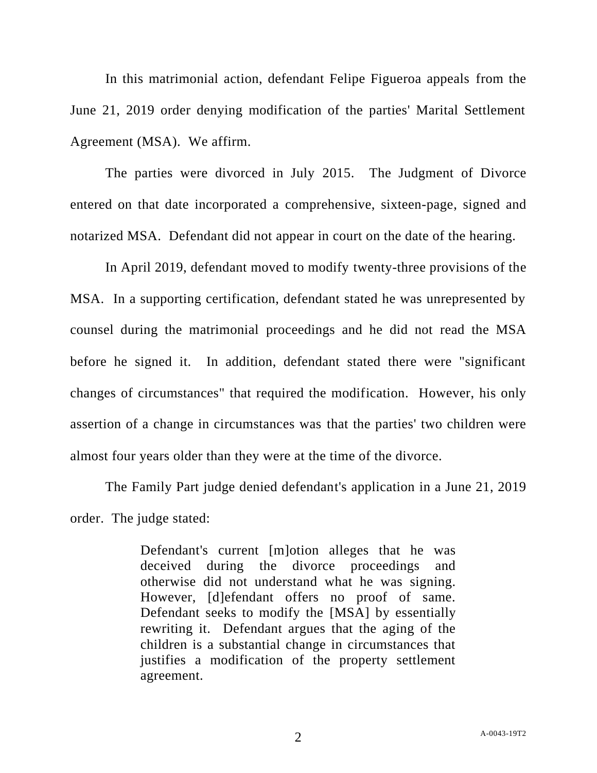In this matrimonial action, defendant Felipe Figueroa appeals from the June 21, 2019 order denying modification of the parties' Marital Settlement Agreement (MSA). We affirm.

The parties were divorced in July 2015. The Judgment of Divorce entered on that date incorporated a comprehensive, sixteen-page, signed and notarized MSA. Defendant did not appear in court on the date of the hearing.

In April 2019, defendant moved to modify twenty-three provisions of the MSA. In a supporting certification, defendant stated he was unrepresented by counsel during the matrimonial proceedings and he did not read the MSA before he signed it. In addition, defendant stated there were "significant changes of circumstances" that required the modification. However, his only assertion of a change in circumstances was that the parties' two children were almost four years older than they were at the time of the divorce.

The Family Part judge denied defendant's application in a June 21, 2019 order. The judge stated:

> Defendant's current [m]otion alleges that he was deceived during the divorce proceedings and otherwise did not understand what he was signing. However, [d]efendant offers no proof of same. Defendant seeks to modify the [MSA] by essentially rewriting it. Defendant argues that the aging of the children is a substantial change in circumstances that justifies a modification of the property settlement agreement.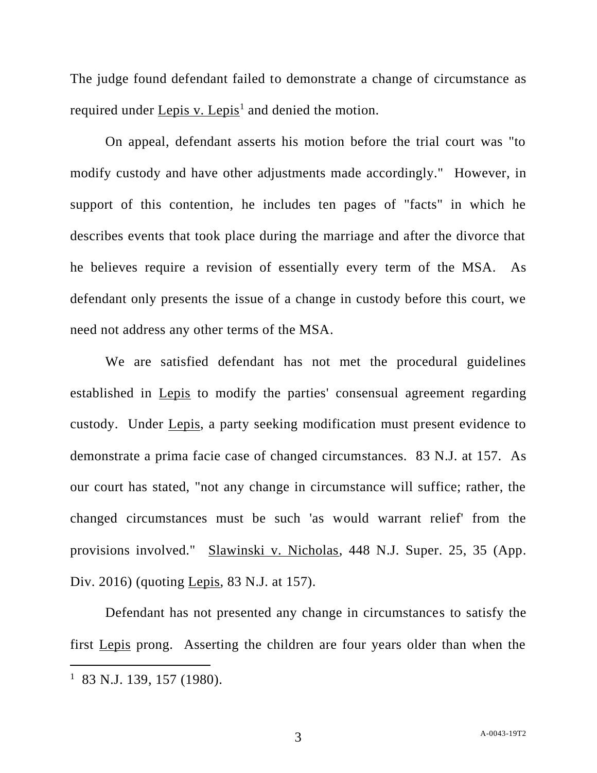The judge found defendant failed to demonstrate a change of circumstance as required under Lepis v. Lepis<sup>1</sup> and denied the motion.

On appeal, defendant asserts his motion before the trial court was "to modify custody and have other adjustments made accordingly." However, in support of this contention, he includes ten pages of "facts" in which he describes events that took place during the marriage and after the divorce that he believes require a revision of essentially every term of the MSA. As defendant only presents the issue of a change in custody before this court, we need not address any other terms of the MSA.

We are satisfied defendant has not met the procedural guidelines established in Lepis to modify the parties' consensual agreement regarding custody. Under Lepis, a party seeking modification must present evidence to demonstrate a prima facie case of changed circumstances. 83 N.J. at 157. As our court has stated, "not any change in circumstance will suffice; rather, the changed circumstances must be such 'as would warrant relief' from the provisions involved." Slawinski v. Nicholas, 448 N.J. Super. 25, 35 (App. Div. 2016) (quoting Lepis, 83 N.J. at 157).

Defendant has not presented any change in circumstances to satisfy the first Lepis prong. Asserting the children are four years older than when the

<sup>1</sup> 83 N.J. 139, 157 (1980).